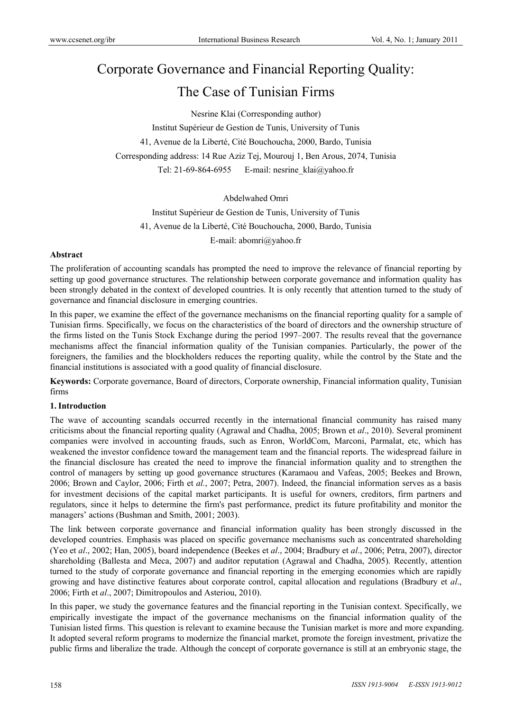# Corporate Governance and Financial Reporting Quality: The Case of Tunisian Firms

Nesrine Klai (Corresponding author) Institut Supérieur de Gestion de Tunis, University of Tunis 41, Avenue de la Liberté, Cité Bouchoucha, 2000, Bardo, Tunisia Corresponding address: 14 Rue Aziz Tej, Mourouj 1, Ben Arous, 2074, Tunisia Tel: 21-69-864-6955 E-mail: nesrine klai@yahoo.fr

Abdelwahed Omri

Institut Supérieur de Gestion de Tunis, University of Tunis 41, Avenue de la Liberté, Cité Bouchoucha, 2000, Bardo, Tunisia E-mail: abomri@yahoo.fr

#### **Abstract**

The proliferation of accounting scandals has prompted the need to improve the relevance of financial reporting by setting up good governance structures. The relationship between corporate governance and information quality has been strongly debated in the context of developed countries. It is only recently that attention turned to the study of governance and financial disclosure in emerging countries.

In this paper, we examine the effect of the governance mechanisms on the financial reporting quality for a sample of Tunisian firms. Specifically, we focus on the characteristics of the board of directors and the ownership structure of the firms listed on the Tunis Stock Exchange during the period 1997–2007. The results reveal that the governance mechanisms affect the financial information quality of the Tunisian companies. Particularly, the power of the foreigners, the families and the blockholders reduces the reporting quality, while the control by the State and the financial institutions is associated with a good quality of financial disclosure.

**Keywords:** Corporate governance, Board of directors, Corporate ownership, Financial information quality, Tunisian firms

## **1. Introduction**

The wave of accounting scandals occurred recently in the international financial community has raised many criticisms about the financial reporting quality (Agrawal and Chadha, 2005; Brown et *al*., 2010). Several prominent companies were involved in accounting frauds, such as Enron, WorldCom, Marconi, Parmalat, etc, which has weakened the investor confidence toward the management team and the financial reports. The widespread failure in the financial disclosure has created the need to improve the financial information quality and to strengthen the control of managers by setting up good governance structures (Karamaou and Vafeas, 2005; Beekes and Brown, 2006; Brown and Caylor, 2006; Firth et *al.*, 2007; Petra, 2007). Indeed, the financial information serves as a basis for investment decisions of the capital market participants. It is useful for owners, creditors, firm partners and regulators, since it helps to determine the firm's past performance, predict its future profitability and monitor the managers' actions (Bushman and Smith, 2001; 2003).

The link between corporate governance and financial information quality has been strongly discussed in the developed countries. Emphasis was placed on specific governance mechanisms such as concentrated shareholding (Yeo et *al*., 2002; Han, 2005), board independence (Beekes et *al*., 2004; Bradbury et *al*., 2006; Petra, 2007), director shareholding (Ballesta and Meca, 2007) and auditor reputation (Agrawal and Chadha, 2005). Recently, attention turned to the study of corporate governance and financial reporting in the emerging economies which are rapidly growing and have distinctive features about corporate control, capital allocation and regulations (Bradbury et *al*., 2006; Firth et *al*., 2007; Dimitropoulos and Asteriou, 2010).

In this paper, we study the governance features and the financial reporting in the Tunisian context. Specifically, we empirically investigate the impact of the governance mechanisms on the financial information quality of the Tunisian listed firms. This question is relevant to examine because the Tunisian market is more and more expanding. It adopted several reform programs to modernize the financial market, promote the foreign investment, privatize the public firms and liberalize the trade. Although the concept of corporate governance is still at an embryonic stage, the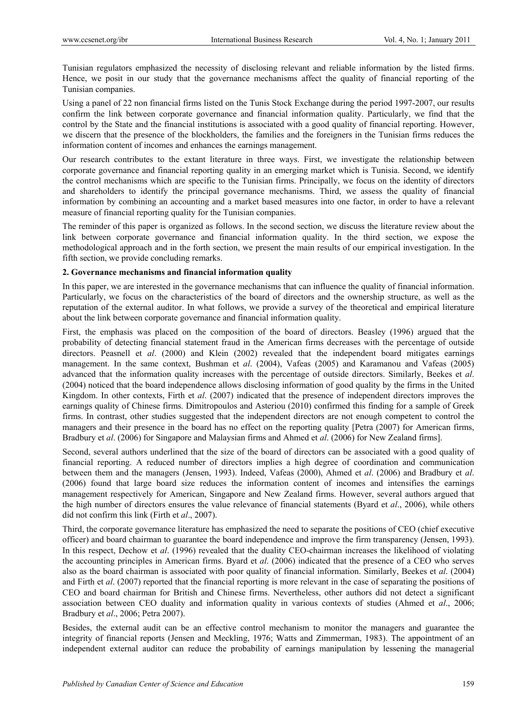Tunisian regulators emphasized the necessity of disclosing relevant and reliable information by the listed firms. Hence, we posit in our study that the governance mechanisms affect the quality of financial reporting of the Tunisian companies.

Using a panel of 22 non financial firms listed on the Tunis Stock Exchange during the period 1997-2007, our results confirm the link between corporate governance and financial information quality. Particularly, we find that the control by the State and the financial institutions is associated with a good quality of financial reporting. However, we discern that the presence of the blockholders, the families and the foreigners in the Tunisian firms reduces the information content of incomes and enhances the earnings management.

Our research contributes to the extant literature in three ways. First, we investigate the relationship between corporate governance and financial reporting quality in an emerging market which is Tunisia. Second, we identify the control mechanisms which are specific to the Tunisian firms. Principally, we focus on the identity of directors and shareholders to identify the principal governance mechanisms. Third, we assess the quality of financial information by combining an accounting and a market based measures into one factor, in order to have a relevant measure of financial reporting quality for the Tunisian companies.

The reminder of this paper is organized as follows. In the second section, we discuss the literature review about the link between corporate governance and financial information quality. In the third section, we expose the methodological approach and in the forth section, we present the main results of our empirical investigation. In the fifth section, we provide concluding remarks.

#### **2. Governance mechanisms and financial information quality**

In this paper, we are interested in the governance mechanisms that can influence the quality of financial information. Particularly, we focus on the characteristics of the board of directors and the ownership structure, as well as the reputation of the external auditor. In what follows, we provide a survey of the theoretical and empirical literature about the link between corporate governance and financial information quality.

First, the emphasis was placed on the composition of the board of directors. Beasley (1996) argued that the probability of detecting financial statement fraud in the American firms decreases with the percentage of outside directors. Peasnell et *al*. (2000) and Klein (2002) revealed that the independent board mitigates earnings management. In the same context, Bushman et *al*. (2004), Vafeas (2005) and Karamanou and Vafeas (2005) advanced that the information quality increases with the percentage of outside directors. Similarly, Beekes et *al*. (2004) noticed that the board independence allows disclosing information of good quality by the firms in the United Kingdom. In other contexts, Firth et *al*. (2007) indicated that the presence of independent directors improves the earnings quality of Chinese firms. Dimitropoulos and Asteriou (2010) confirmed this finding for a sample of Greek firms. In contrast, other studies suggested that the independent directors are not enough competent to control the managers and their presence in the board has no effect on the reporting quality [Petra (2007) for American firms, Bradbury et *al*. (2006) for Singapore and Malaysian firms and Ahmed et *al*. (2006) for New Zealand firms].

Second, several authors underlined that the size of the board of directors can be associated with a good quality of financial reporting. A reduced number of directors implies a high degree of coordination and communication between them and the managers (Jensen, 1993). Indeed, Vafeas (2000), Ahmed et *al*. (2006) and Bradbury et *al*. (2006) found that large board size reduces the information content of incomes and intensifies the earnings management respectively for American, Singapore and New Zealand firms. However, several authors argued that the high number of directors ensures the value relevance of financial statements (Byard et *al*., 2006), while others did not confirm this link (Firth et *al*., 2007).

Third, the corporate governance literature has emphasized the need to separate the positions of CEO (chief executive officer) and board chairman to guarantee the board independence and improve the firm transparency (Jensen, 1993). In this respect, Dechow et *al*. (1996) revealed that the duality CEO-chairman increases the likelihood of violating the accounting principles in American firms. Byard et *al*. (2006) indicated that the presence of a CEO who serves also as the board chairman is associated with poor quality of financial information. Similarly, Beekes et *al*. (2004) and Firth et *al*. (2007) reported that the financial reporting is more relevant in the case of separating the positions of CEO and board chairman for British and Chinese firms. Nevertheless, other authors did not detect a significant association between CEO duality and information quality in various contexts of studies (Ahmed et *al*., 2006; Bradbury et *al*., 2006; Petra 2007).

Besides, the external audit can be an effective control mechanism to monitor the managers and guarantee the integrity of financial reports (Jensen and Meckling, 1976; Watts and Zimmerman, 1983). The appointment of an independent external auditor can reduce the probability of earnings manipulation by lessening the managerial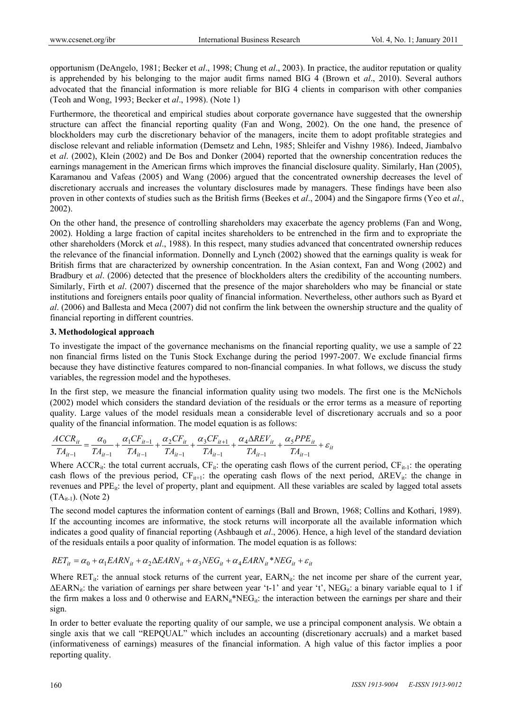opportunism (DeAngelo, 1981; Becker et *al*., 1998; Chung et *al*., 2003). In practice, the auditor reputation or quality is apprehended by his belonging to the major audit firms named BIG 4 (Brown et *al*., 2010). Several authors advocated that the financial information is more reliable for BIG 4 clients in comparison with other companies (Teoh and Wong, 1993; Becker et *al*., 1998). (Note 1)

Furthermore, the theoretical and empirical studies about corporate governance have suggested that the ownership structure can affect the financial reporting quality (Fan and Wong, 2002). On the one hand, the presence of blockholders may curb the discretionary behavior of the managers, incite them to adopt profitable strategies and disclose relevant and reliable information (Demsetz and Lehn, 1985; Shleifer and Vishny 1986). Indeed, Jiambalvo et *al*. (2002), Klein (2002) and De Bos and Donker (2004) reported that the ownership concentration reduces the earnings management in the American firms which improves the financial disclosure quality. Similarly, Han (2005), Karamanou and Vafeas (2005) and Wang (2006) argued that the concentrated ownership decreases the level of discretionary accruals and increases the voluntary disclosures made by managers. These findings have been also proven in other contexts of studies such as the British firms (Beekes et *al*., 2004) and the Singapore firms (Yeo et *al*., 2002).

On the other hand, the presence of controlling shareholders may exacerbate the agency problems (Fan and Wong, 2002). Holding a large fraction of capital incites shareholders to be entrenched in the firm and to expropriate the other shareholders (Morck et *al*., 1988). In this respect, many studies advanced that concentrated ownership reduces the relevance of the financial information. Donnelly and Lynch (2002) showed that the earnings quality is weak for British firms that are characterized by ownership concentration. In the Asian context, Fan and Wong (2002) and Bradbury et *al*. (2006) detected that the presence of blockholders alters the credibility of the accounting numbers. Similarly, Firth et *al*. (2007) discerned that the presence of the major shareholders who may be financial or state institutions and foreigners entails poor quality of financial information. Nevertheless, other authors such as Byard et *al*. (2006) and Ballesta and Meca (2007) did not confirm the link between the ownership structure and the quality of financial reporting in different countries.

#### **3. Methodological approach**

To investigate the impact of the governance mechanisms on the financial reporting quality, we use a sample of 22 non financial firms listed on the Tunis Stock Exchange during the period 1997-2007. We exclude financial firms because they have distinctive features compared to non-financial companies. In what follows, we discuss the study variables, the regression model and the hypotheses.

In the first step, we measure the financial information quality using two models. The first one is the McNichols (2002) model which considers the standard deviation of the residuals or the error terms as a measure of reporting quality. Large values of the model residuals mean a considerable level of discretionary accruals and so a poor quality of the financial information. The model equation is as follows:

$$
\frac{ACCR_{it}}{TA_{it-1}} = \frac{\alpha_0}{TA_{it-1}} + \frac{\alpha_1 CF_{it-1}}{TA_{it-1}} + \frac{\alpha_2 CF_{it}}{TA_{it-1}} + \frac{\alpha_3 CF_{it+1}}{TA_{it-1}} + \frac{\alpha_4 \Delta REV_{it}}{TA_{it-1}} + \frac{\alpha_5 PPE_{it}}{TA_{it-1}} + \varepsilon_{it}
$$

Where  $ACCR_{it}$ : the total current accruals,  $CF_{it}$ : the operating cash flows of the current period,  $CF_{it-1}$ : the operating cash flows of the previous period,  $CF_{it+1}$ : the operating cash flows of the next period,  $\Delta$ REV<sub>it</sub>: the change in revenues and PPE<sub>it</sub>: the level of property, plant and equipment. All these variables are scaled by lagged total assets  $(TA_{it-1})$ . (Note 2)

The second model captures the information content of earnings (Ball and Brown, 1968; Collins and Kothari, 1989). If the accounting incomes are informative, the stock returns will incorporate all the available information which indicates a good quality of financial reporting (Ashbaugh et *al*., 2006). Hence, a high level of the standard deviation of the residuals entails a poor quality of information. The model equation is as follows:

$$
RET_{it} = \alpha_0 + \alpha_1EARN_{it} + \alpha_2\Delta EARN_{it} + \alpha_3NEG_{it} + \alpha_4EARN_{it}*NEG_{it} + \varepsilon_{it}
$$

Where  $RET_{it}$ : the annual stock returns of the current year,  $EARN_{it}$ : the net income per share of the current year,  $\Delta$ EARN<sub>it</sub>: the variation of earnings per share between year 't-1' and year 't', NEG<sub>it</sub>: a binary variable equal to 1 if the firm makes a loss and 0 otherwise and  $EARN_{it}^*NEG_{it}$ : the interaction between the earnings per share and their sign.

In order to better evaluate the reporting quality of our sample, we use a principal component analysis. We obtain a single axis that we call "REPQUAL" which includes an accounting (discretionary accruals) and a market based (informativeness of earnings) measures of the financial information. A high value of this factor implies a poor reporting quality.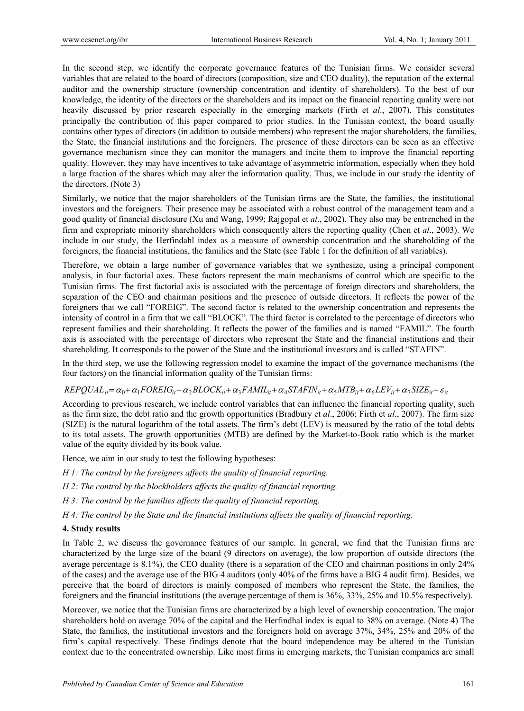In the second step, we identify the corporate governance features of the Tunisian firms. We consider several variables that are related to the board of directors (composition, size and CEO duality), the reputation of the external auditor and the ownership structure (ownership concentration and identity of shareholders). To the best of our knowledge, the identity of the directors or the shareholders and its impact on the financial reporting quality were not heavily discussed by prior research especially in the emerging markets (Firth et *al*., 2007). This constitutes principally the contribution of this paper compared to prior studies. In the Tunisian context, the board usually contains other types of directors (in addition to outside members) who represent the major shareholders, the families, the State, the financial institutions and the foreigners. The presence of these directors can be seen as an effective governance mechanism since they can monitor the managers and incite them to improve the financial reporting quality. However, they may have incentives to take advantage of asymmetric information, especially when they hold a large fraction of the shares which may alter the information quality. Thus, we include in our study the identity of the directors. (Note 3)

Similarly, we notice that the major shareholders of the Tunisian firms are the State, the families, the institutional investors and the foreigners. Their presence may be associated with a robust control of the management team and a good quality of financial disclosure (Xu and Wang, 1999; Rajgopal et *al*., 2002). They also may be entrenched in the firm and expropriate minority shareholders which consequently alters the reporting quality (Chen et *al*., 2003). We include in our study, the Herfindahl index as a measure of ownership concentration and the shareholding of the foreigners, the financial institutions, the families and the State (see Table 1 for the definition of all variables).

Therefore, we obtain a large number of governance variables that we synthesize, using a principal component analysis, in four factorial axes. These factors represent the main mechanisms of control which are specific to the Tunisian firms. The first factorial axis is associated with the percentage of foreign directors and shareholders, the separation of the CEO and chairman positions and the presence of outside directors. It reflects the power of the foreigners that we call "FOREIG". The second factor is related to the ownership concentration and represents the intensity of control in a firm that we call "BLOCK". The third factor is correlated to the percentage of directors who represent families and their shareholding. It reflects the power of the families and is named "FAMIL". The fourth axis is associated with the percentage of directors who represent the State and the financial institutions and their shareholding. It corresponds to the power of the State and the institutional investors and is called "STAFIN".

In the third step, we use the following regression model to examine the impact of the governance mechanisms (the four factors) on the financial information quality of the Tunisian firms:

# $REPOUAL_{it} = \alpha_0 + \alpha_1 FOREIG_{it} + \alpha_2 BLOCK_{it} + \alpha_3 FAMIL_{it} + \alpha_4 STATE_{it} + \alpha_5 MTB_{it} + \alpha_6 LEV_{it} + \alpha_7 SIZE_{it} + \varepsilon_{it}$

According to previous research, we include control variables that can influence the financial reporting quality, such as the firm size, the debt ratio and the growth opportunities (Bradbury et *al*., 2006; Firth et *al*., 2007). The firm size (SIZE) is the natural logarithm of the total assets. The firm's debt (LEV) is measured by the ratio of the total debts to its total assets. The growth opportunities (MTB) are defined by the Market-to-Book ratio which is the market value of the equity divided by its book value.

Hence, we aim in our study to test the following hypotheses:

- *H 1: The control by the foreigners affects the quality of financial reporting.*
- *H 2: The control by the blockholders affects the quality of financial reporting.*
- *H 3: The control by the families affects the quality of financial reporting.*

*H 4: The control by the State and the financial institutions affects the quality of financial reporting.* 

#### **4. Study results**

In Table 2, we discuss the governance features of our sample. In general, we find that the Tunisian firms are characterized by the large size of the board (9 directors on average), the low proportion of outside directors (the average percentage is 8.1%), the CEO duality (there is a separation of the CEO and chairman positions in only 24% of the cases) and the average use of the BIG 4 auditors (only 40% of the firms have a BIG 4 audit firm). Besides, we perceive that the board of directors is mainly composed of members who represent the State, the families, the foreigners and the financial institutions (the average percentage of them is 36%, 33%, 25% and 10.5% respectively).

Moreover, we notice that the Tunisian firms are characterized by a high level of ownership concentration. The major shareholders hold on average 70% of the capital and the Herfindhal index is equal to 38% on average. (Note 4) The State, the families, the institutional investors and the foreigners hold on average 37%, 34%, 25% and 20% of the firm's capital respectively. These findings denote that the board independence may be altered in the Tunisian context due to the concentrated ownership. Like most firms in emerging markets, the Tunisian companies are small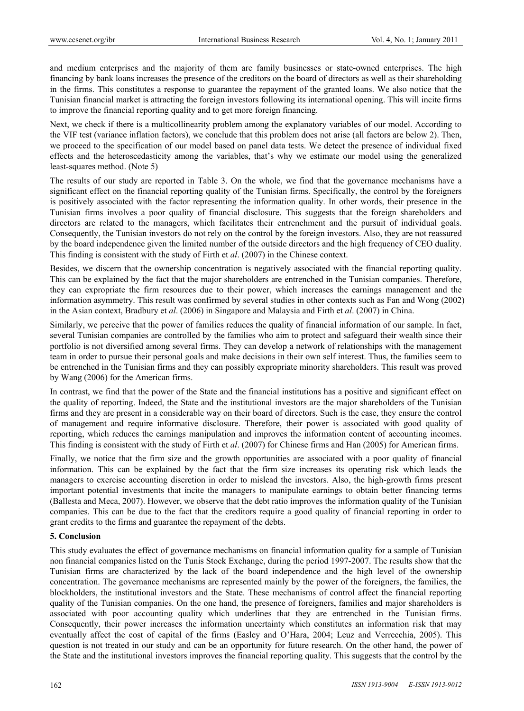and medium enterprises and the majority of them are family businesses or state-owned enterprises. The high financing by bank loans increases the presence of the creditors on the board of directors as well as their shareholding in the firms. This constitutes a response to guarantee the repayment of the granted loans. We also notice that the Tunisian financial market is attracting the foreign investors following its international opening. This will incite firms to improve the financial reporting quality and to get more foreign financing.

Next, we check if there is a multicollinearity problem among the explanatory variables of our model. According to the VIF test (variance inflation factors), we conclude that this problem does not arise (all factors are below 2). Then, we proceed to the specification of our model based on panel data tests. We detect the presence of individual fixed effects and the heteroscedasticity among the variables, that's why we estimate our model using the generalized least*-*squares method. (Note 5)

The results of our study are reported in Table 3. On the whole, we find that the governance mechanisms have a significant effect on the financial reporting quality of the Tunisian firms. Specifically, the control by the foreigners is positively associated with the factor representing the information quality. In other words, their presence in the Tunisian firms involves a poor quality of financial disclosure. This suggests that the foreign shareholders and directors are related to the managers, which facilitates their entrenchment and the pursuit of individual goals. Consequently, the Tunisian investors do not rely on the control by the foreign investors. Also, they are not reassured by the board independence given the limited number of the outside directors and the high frequency of CEO duality. This finding is consistent with the study of Firth et *al*. (2007) in the Chinese context.

Besides, we discern that the ownership concentration is negatively associated with the financial reporting quality. This can be explained by the fact that the major shareholders are entrenched in the Tunisian companies. Therefore, they can expropriate the firm resources due to their power, which increases the earnings management and the information asymmetry. This result was confirmed by several studies in other contexts such as Fan and Wong (2002) in the Asian context, Bradbury et *al*. (2006) in Singapore and Malaysia and Firth et *al*. (2007) in China.

Similarly, we perceive that the power of families reduces the quality of financial information of our sample. In fact, several Tunisian companies are controlled by the families who aim to protect and safeguard their wealth since their portfolio is not diversified among several firms. They can develop a network of relationships with the management team in order to pursue their personal goals and make decisions in their own self interest. Thus, the families seem to be entrenched in the Tunisian firms and they can possibly expropriate minority shareholders. This result was proved by Wang (2006) for the American firms.

In contrast, we find that the power of the State and the financial institutions has a positive and significant effect on the quality of reporting. Indeed, the State and the institutional investors are the major shareholders of the Tunisian firms and they are present in a considerable way on their board of directors. Such is the case, they ensure the control of management and require informative disclosure. Therefore, their power is associated with good quality of reporting, which reduces the earnings manipulation and improves the information content of accounting incomes. This finding is consistent with the study of Firth et *al*. (2007) for Chinese firms and Han (2005) for American firms.

Finally, we notice that the firm size and the growth opportunities are associated with a poor quality of financial information. This can be explained by the fact that the firm size increases its operating risk which leads the managers to exercise accounting discretion in order to mislead the investors. Also, the high-growth firms present important potential investments that incite the managers to manipulate earnings to obtain better financing terms (Ballesta and Meca, 2007). However, we observe that the debt ratio improves the information quality of the Tunisian companies. This can be due to the fact that the creditors require a good quality of financial reporting in order to grant credits to the firms and guarantee the repayment of the debts.

## **5. Conclusion**

This study evaluates the effect of governance mechanisms on financial information quality for a sample of Tunisian non financial companies listed on the Tunis Stock Exchange, during the period 1997-2007. The results show that the Tunisian firms are characterized by the lack of the board independence and the high level of the ownership concentration. The governance mechanisms are represented mainly by the power of the foreigners, the families, the blockholders, the institutional investors and the State. These mechanisms of control affect the financial reporting quality of the Tunisian companies. On the one hand, the presence of foreigners, families and major shareholders is associated with poor accounting quality which underlines that they are entrenched in the Tunisian firms. Consequently, their power increases the information uncertainty which constitutes an information risk that may eventually affect the cost of capital of the firms (Easley and O'Hara, 2004; Leuz and Verrecchia, 2005). This question is not treated in our study and can be an opportunity for future research. On the other hand, the power of the State and the institutional investors improves the financial reporting quality. This suggests that the control by the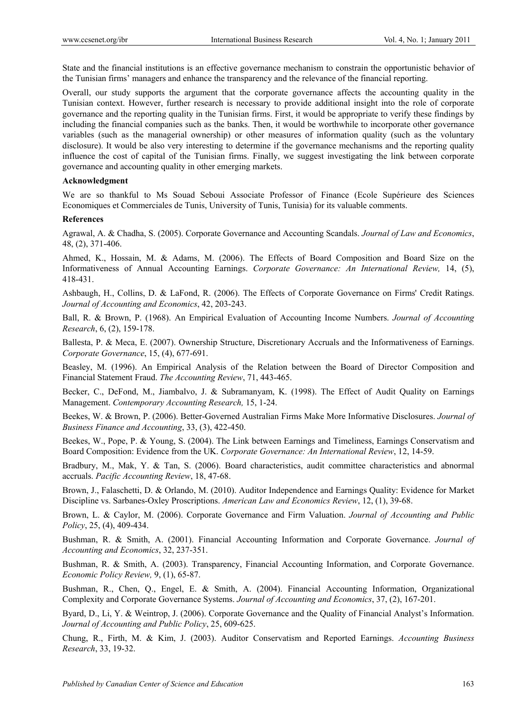State and the financial institutions is an effective governance mechanism to constrain the opportunistic behavior of the Tunisian firms' managers and enhance the transparency and the relevance of the financial reporting.

Overall, our study supports the argument that the corporate governance affects the accounting quality in the Tunisian context. However, further research is necessary to provide additional insight into the role of corporate governance and the reporting quality in the Tunisian firms. First, it would be appropriate to verify these findings by including the financial companies such as the banks. Then, it would be worthwhile to incorporate other governance variables (such as the managerial ownership) or other measures of information quality (such as the voluntary disclosure). It would be also very interesting to determine if the governance mechanisms and the reporting quality influence the cost of capital of the Tunisian firms. Finally, we suggest investigating the link between corporate governance and accounting quality in other emerging markets.

#### **Acknowledgment**

We are so thankful to Ms Souad Seboui Associate Professor of Finance (Ecole Supérieure des Sciences Economiques et Commerciales de Tunis, University of Tunis, Tunisia) for its valuable comments.

#### **References**

Agrawal, A. & Chadha, S. (2005). Corporate Governance and Accounting Scandals. *Journal of Law and Economics*, 48, (2), 371-406.

Ahmed, K., Hossain, M. & Adams, M. (2006). The Effects of Board Composition and Board Size on the Informativeness of Annual Accounting Earnings. *Corporate Governance: An International Review,* 14, (5), 418-431.

Ashbaugh, H., Collins, D. & LaFond, R. (2006). The Effects of Corporate Governance on Firms' Credit Ratings. *Journal of Accounting and Economics*, 42, 203-243.

Ball, R. & Brown, P. (1968). An Empirical Evaluation of Accounting Income Numbers. *Journal of Accounting Research*, 6, (2), 159-178.

Ballesta, P. & Meca, E. (2007). Ownership Structure, Discretionary Accruals and the Informativeness of Earnings. *Corporate Governance*, 15, (4), 677-691.

Beasley, M. (1996). An Empirical Analysis of the Relation between the Board of Director Composition and Financial Statement Fraud. *The Accounting Review*, 71, 443-465.

Becker, C., DeFond, M., Jiambalvo, J. & Subramanyam, K. (1998). The Effect of Audit Quality on Earnings Management. *Contemporary Accounting Research,* 15, 1-24.

Beekes, W. & Brown, P. (2006). Better-Governed Australian Firms Make More Informative Disclosures. *Journal of Business Finance and Accounting*, 33, (3), 422-450.

Beekes, W., Pope, P. & Young, S. (2004). The Link between Earnings and Timeliness, Earnings Conservatism and Board Composition: Evidence from the UK. *Corporate Governance: An International Review*, 12, 14-59.

Bradbury, M., Mak, Y. & Tan, S. (2006). Board characteristics, audit committee characteristics and abnormal accruals. *Pacific Accounting Review*, 18, 47-68.

Brown, J., Falaschetti, D. & Orlando, M. (2010). Auditor Independence and Earnings Quality: Evidence for Market Discipline vs. Sarbanes-Oxley Proscriptions. *American Law and Economics Review*, 12, (1), 39-68.

Brown, L. & Caylor, M. (2006). Corporate Governance and Firm Valuation. *Journal of Accounting and Public Policy*, 25, (4), 409-434.

Bushman, R. & Smith, A. (2001). Financial Accounting Information and Corporate Governance. *Journal of Accounting and Economics*, 32, 237-351.

Bushman, R. & Smith, A. (2003). Transparency, Financial Accounting Information, and Corporate Governance. *Economic Policy Review,* 9, (1), 65-87.

Bushman, R., Chen, Q., Engel, E. & Smith, A. (2004). Financial Accounting Information, Organizational Complexity and Corporate Governance Systems. *Journal of Accounting and Economics*, 37, (2), 167-201.

Byard, D., Li, Y. & Weintrop, J. (2006). Corporate Governance and the Quality of Financial Analyst's Information. *Journal of Accounting and Public Policy*, 25, 609-625.

Chung, R., Firth, M. & Kim, J. (2003). Auditor Conservatism and Reported Earnings. *Accounting Business Research*, 33, 19-32.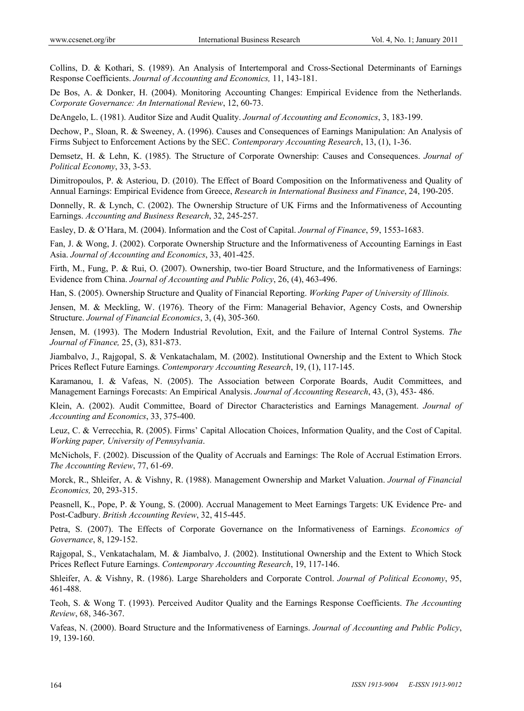Collins, D. & Kothari, S. (1989). An Analysis of Intertemporal and Cross-Sectional Determinants of Earnings Response Coefficients. *Journal of Accounting and Economics,* 11, 143-181.

De Bos, A. & Donker, H. (2004). Monitoring Accounting Changes: Empirical Evidence from the Netherlands. *Corporate Governance: An International Review*, 12, 60-73.

DeAngelo, L. (1981). Auditor Size and Audit Quality. *Journal of Accounting and Economics*, 3, 183-199.

Dechow, P., Sloan, R. & Sweeney, A. (1996). Causes and Consequences of Earnings Manipulation: An Analysis of Firms Subject to Enforcement Actions by the SEC. *Contemporary Accounting Research*, 13, (1), 1-36.

Demsetz, H. & Lehn, K. (1985). The Structure of Corporate Ownership: Causes and Consequences. *Journal of Political Economy*, 33, 3-53.

Dimitropoulos, P. & Asteriou, D. (2010). The Effect of Board Composition on the Informativeness and Quality of Annual Earnings: Empirical Evidence from Greece, *Research in International Business and Finance*, 24, 190-205.

Donnelly, R. & Lynch, C. (2002). The Ownership Structure of UK Firms and the Informativeness of Accounting Earnings. *Accounting and Business Research*, 32, 245-257.

Easley, D. & O'Hara, M. (2004). Information and the Cost of Capital. *Journal of Finance*, 59, 1553-1683.

Fan, J. & Wong, J. (2002). Corporate Ownership Structure and the Informativeness of Accounting Earnings in East Asia. *Journal of Accounting and Economics*, 33, 401-425.

Firth, M., Fung, P. & Rui, O. (2007). Ownership, two-tier Board Structure, and the Informativeness of Earnings: Evidence from China. *Journal of Accounting and Public Policy*, 26, (4), 463-496.

Han, S. (2005). Ownership Structure and Quality of Financial Reporting. *Working Paper of University of Illinois.* 

Jensen, M. & Meckling, W. (1976). Theory of the Firm: Managerial Behavior, Agency Costs, and Ownership Structure. *Journal of Financial Economics*, 3, (4), 305-360.

Jensen, M. (1993). The Modern Industrial Revolution, Exit, and the Failure of Internal Control Systems. *The Journal of Finance,* 25, (3), 831-873.

Jiambalvo, J., Rajgopal, S. & Venkatachalam, M. (2002). Institutional Ownership and the Extent to Which Stock Prices Reflect Future Earnings. *Contemporary Accounting Research*, 19, (1), 117-145.

Karamanou, I. & Vafeas, N. (2005). The Association between Corporate Boards, Audit Committees, and Management Earnings Forecasts: An Empirical Analysis. *Journal of Accounting Research*, 43, (3), 453- 486.

Klein, A. (2002). Audit Committee, Board of Director Characteristics and Earnings Management. *Journal of Accounting and Economics*, 33, 375-400.

Leuz, C. & Verrecchia, R. (2005). Firms' Capital Allocation Choices, Information Quality, and the Cost of Capital. *Working paper, University of Pennsylvania*.

McNichols, F. (2002). Discussion of the Quality of Accruals and Earnings: The Role of Accrual Estimation Errors. *The Accounting Review*, 77, 61-69.

Morck, R., Shleifer, A. & Vishny, R. (1988). Management Ownership and Market Valuation. *Journal of Financial Economics,* 20, 293-315.

Peasnell, K., Pope, P. & Young, S. (2000). Accrual Management to Meet Earnings Targets: UK Evidence Pre- and Post-Cadbury. *British Accounting Review*, 32, 415-445.

Petra, S. (2007). The Effects of Corporate Governance on the Informativeness of Earnings. *Economics of Governance*, 8, 129-152.

Rajgopal, S., Venkatachalam, M. & Jiambalvo, J. (2002). Institutional Ownership and the Extent to Which Stock Prices Reflect Future Earnings. *Contemporary Accounting Research*, 19, 117-146.

Shleifer, A. & Vishny, R. (1986). Large Shareholders and Corporate Control. *Journal of Political Economy*, 95, 461-488.

Teoh, S. & Wong T. (1993). Perceived Auditor Quality and the Earnings Response Coefficients. *The Accounting Review*, 68, 346-367.

Vafeas, N. (2000). Board Structure and the Informativeness of Earnings. *Journal of Accounting and Public Policy*, 19, 139-160.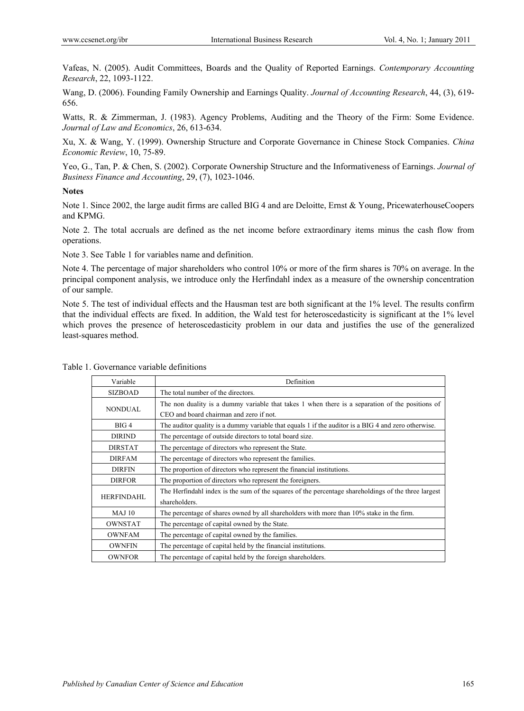Vafeas, N. (2005). Audit Committees, Boards and the Quality of Reported Earnings. *Contemporary Accounting Research*, 22, 1093-1122.

Wang, D. (2006). Founding Family Ownership and Earnings Quality. *Journal of Accounting Research*, 44, (3), 619- 656.

Watts, R. & Zimmerman, J. (1983). Agency Problems, Auditing and the Theory of the Firm: Some Evidence. *Journal of Law and Economics*, 26, 613-634.

Xu, X. & Wang, Y. (1999). Ownership Structure and Corporate Governance in Chinese Stock Companies. *China Economic Review*, 10, 75-89.

Yeo, G., Tan, P. & Chen, S. (2002). Corporate Ownership Structure and the Informativeness of Earnings. *Journal of Business Finance and Accounting*, 29, (7), 1023-1046.

**Notes** 

Note 1. Since 2002, the large audit firms are called BIG 4 and are Deloitte, Ernst & Young, PricewaterhouseCoopers and KPMG.

Note 2. The total accruals are defined as the net income before extraordinary items minus the cash flow from operations.

Note 3. See Table 1 for variables name and definition.

Note 4. The percentage of major shareholders who control 10% or more of the firm shares is 70% on average. In the principal component analysis, we introduce only the Herfindahl index as a measure of the ownership concentration of our sample.

Note 5. The test of individual effects and the Hausman test are both significant at the 1% level. The results confirm that the individual effects are fixed. In addition, the Wald test for heteroscedasticity is significant at the 1% level which proves the presence of heteroscedasticity problem in our data and justifies the use of the generalized least*-*squares method.

| Variable          | Definition                                                                                                           |  |  |
|-------------------|----------------------------------------------------------------------------------------------------------------------|--|--|
| <b>SIZBOAD</b>    | The total number of the directors.                                                                                   |  |  |
| <b>NONDUAL</b>    | The non duality is a dummy variable that takes 1 when there is a separation of the positions of                      |  |  |
|                   | CEO and board chairman and zero if not.                                                                              |  |  |
| BIG4              | The auditor quality is a dummy variable that equals 1 if the auditor is a BIG 4 and zero otherwise.                  |  |  |
| <b>DIRIND</b>     | The percentage of outside directors to total board size.                                                             |  |  |
| <b>DIRSTAT</b>    | The percentage of directors who represent the State.                                                                 |  |  |
| <b>DIRFAM</b>     | The percentage of directors who represent the families.                                                              |  |  |
| <b>DIRFIN</b>     | The proportion of directors who represent the financial institutions.                                                |  |  |
| <b>DIRFOR</b>     | The proportion of directors who represent the foreigners.                                                            |  |  |
| <b>HERFINDAHL</b> | The Herfindahl index is the sum of the squares of the percentage shareholdings of the three largest<br>shareholders. |  |  |
|                   |                                                                                                                      |  |  |
| MAJ 10            | The percentage of shares owned by all shareholders with more than 10% stake in the firm.                             |  |  |
| <b>OWNSTAT</b>    | The percentage of capital owned by the State.                                                                        |  |  |
| <b>OWNFAM</b>     | The percentage of capital owned by the families.                                                                     |  |  |
| <b>OWNFIN</b>     | The percentage of capital held by the financial institutions.                                                        |  |  |
| <b>OWNFOR</b>     | The percentage of capital held by the foreign shareholders.                                                          |  |  |

Table 1. Governance variable definitions